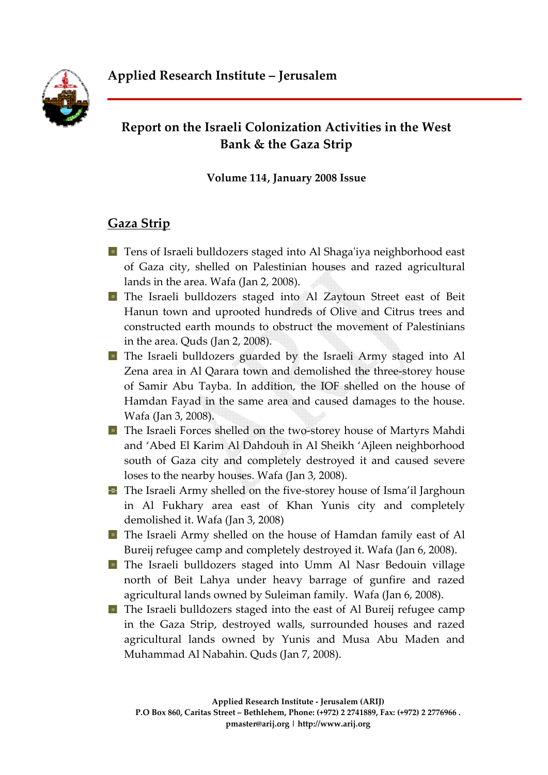

# **Report on the Israeli Colonization Activities in the West Bank & the Gaza Strip**

**Volume 114, January 2008 Issue**

# **Gaza Strip**

- **T** Tens of Israeli bulldozers staged into Al Shaga'iya neighborhood east of Gaza city, shelled on Palestinian houses and razed agricultural lands in the area. Wafa (Jan 2, 2008).
- The Israeli bulldozers staged into Al Zaytoun Street east of Beit Hanun town and uprooted hundreds of Olive and Citrus trees and constructed earth mounds to obstruct the movement of Palestinians in the area. Quds (Jan 2, 2008).
- **T** The Israeli bulldozers guarded by the Israeli Army staged into Al Zena area in Al Qarara town and demolished the three‐storey house of Samir Abu Tayba. In addition, the IOF shelled on the house of Hamdan Fayad in the same area and caused damages to the house. Wafa (Jan 3, 2008).
- The Israeli Forces shelled on the two‐storey house of Martyrs Mahdi and 'Abed El Karim Al Dahdouh in Al Sheikh 'Ajleen neighborhood south of Gaza city and completely destroyed it and caused severe loses to the nearby houses. Wafa (Jan 3, 2008).
- The Israeli Army shelled on the five‐storey house of Isma'il Jarghoun in Al Fukhary area east of Khan Yunis city and completely demolished it. Wafa (Jan 3, 2008)
- The Israeli Army shelled on the house of Hamdan family east of Al Bureij refugee camp and completely destroyed it. Wafa (Jan 6, 2008).
- The Israeli bulldozers staged into Umm Al Nasr Bedouin village north of Beit Lahya under heavy barrage of gunfire and razed agricultural lands owned by Suleiman family. Wafa (Jan 6, 2008).
- **The Israeli bulldozers staged into the east of Al Bureij refugee camp** in the Gaza Strip, destroyed walls, surrounded houses and razed agricultural lands owned by Yunis and Musa Abu Maden and Muhammad Al Nabahin. Quds (Jan 7, 2008).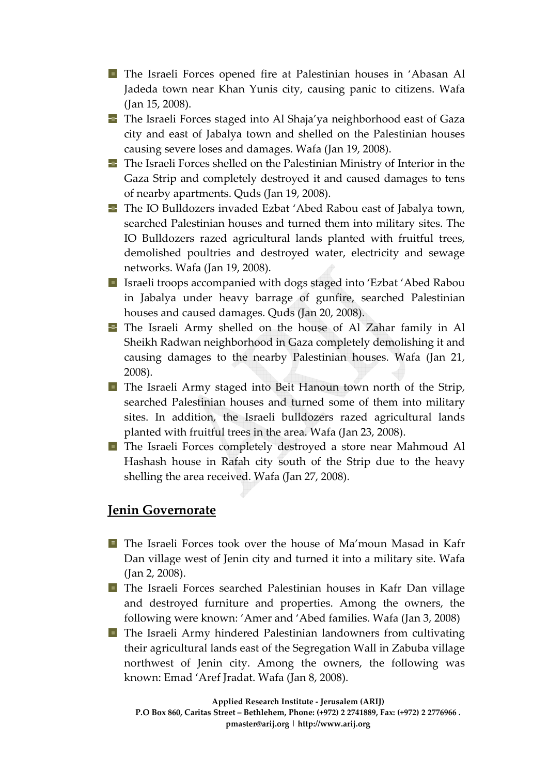- The Israeli Forces opened fire at Palestinian houses in 'Abasan Al Jadeda town near Khan Yunis city, causing panic to citizens. Wafa (Jan 15, 2008).
- **The Israeli Forces staged into Al Shaja'ya neighborhood east of Gaza** city and east of Jabalya town and shelled on the Palestinian houses causing severe loses and damages. Wafa (Jan 19, 2008).
- **The Israeli Forces shelled on the Palestinian Ministry of Interior in the** Gaza Strip and completely destroyed it and caused damages to tens of nearby apartments. Quds (Jan 19, 2008).
- **The IO Bulldozers invaded Ezbat 'Abed Rabou east of Jabalya town,** searched Palestinian houses and turned them into military sites. The IO Bulldozers razed agricultural lands planted with fruitful trees, demolished poultries and destroyed water, electricity and sewage networks. Wafa (Jan 19, 2008).
- **I** Israeli troops accompanied with dogs staged into 'Ezbat' Abed Rabou in Jabalya under heavy barrage of gunfire, searched Palestinian houses and caused damages. Quds (Jan 20, 2008).
- The Israeli Army shelled on the house of Al Zahar family in Al Sheikh Radwan neighborhood in Gaza completely demolishing it and causing damages to the nearby Palestinian houses. Wafa (Jan 21, 2008).
- **The Israeli Army staged into Beit Hanoun town north of the Strip,** searched Palestinian houses and turned some of them into military sites. In addition, the Israeli bulldozers razed agricultural lands planted with fruitful trees in the area. Wafa (Jan 23, 2008).
- The Israeli Forces completely destroyed a store near Mahmoud Al Hashash house in Rafah city south of the Strip due to the heavy shelling the area received. Wafa (Jan 27, 2008).

## **Jenin Governorate**

- **The Israeli Forces took over the house of Ma'moun Masad in Kafr** Dan village west of Jenin city and turned it into a military site. Wafa (Jan 2, 2008).
- The Israeli Forces searched Palestinian houses in Kafr Dan village and destroyed furniture and properties. Among the owners, the following were known: 'Amer and 'Abed families. Wafa (Jan 3, 2008)
- **The Israeli Army hindered Palestinian landowners from cultivating** their agricultural lands east of the Segregation Wall in Zabuba village northwest of Jenin city. Among the owners, the following was known: Emad 'Aref Jradat. Wafa (Jan 8, 2008).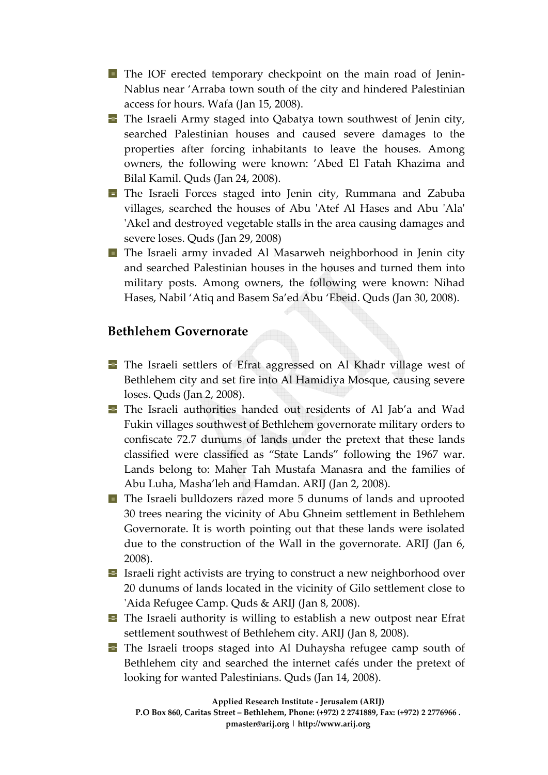- **The IOF erected temporary checkpoint on the main road of Jenin-**Nablus near 'Arraba town south of the city and hindered Palestinian access for hours. Wafa (Jan 15, 2008).
- **The Israeli Army staged into Qabatya town southwest of Jenin city,** searched Palestinian houses and caused severe damages to the properties after forcing inhabitants to leave the houses. Among owners, the following were known: 'Abed El Fatah Khazima and Bilal Kamil. Quds (Jan 24, 2008).
- The Israeli Forces staged into Jenin city, Rummana and Zabuba villages, searched the houses of Abu ʹAtef Al Hases and Abu ʹAlaʹ 'Akel and destroyed vegetable stalls in the area causing damages and severe loses. Quds (Jan 29, 2008)
- **The Israeli army invaded Al Masarweh neighborhood in Jenin city** and searched Palestinian houses in the houses and turned them into military posts. Among owners, the following were known: Nihad Hases, Nabil 'Atiq and Basem Sa'ed Abu 'Ebeid. Quds (Jan 30, 2008).

#### **Bethlehem Governorate**

- The Israeli settlers of Efrat aggressed on Al Khadr village west of Bethlehem city and set fire into Al Hamidiya Mosque, causing severe loses. Quds (Jan 2, 2008).
- The Israeli authorities handed out residents of Al Jab'a and Wad Fukin villages southwest of Bethlehem governorate military orders to confiscate 72.7 dunums of lands under the pretext that these lands classified were classified as "State Lands" following the 1967 war. Lands belong to: Maher Tah Mustafa Manasra and the families of Abu Luha, Masha'leh and Hamdan. ARIJ (Jan 2, 2008).
- The Israeli bulldozers razed more 5 dunums of lands and uprooted 30 trees nearing the vicinity of Abu Ghneim settlement in Bethlehem Governorate. It is worth pointing out that these lands were isolated due to the construction of the Wall in the governorate. ARIJ (Jan 6, 2008).
- Israeli right activists are trying to construct a new neighborhood over 20 dunums of lands located in the vicinity of Gilo settlement close to 'Aida Refugee Camp. Quds & ARIJ (Jan 8, 2008).
- The Israeli authority is willing to establish a new outpost near Efrat settlement southwest of Bethlehem city. ARIJ (Jan 8, 2008).
- The Israeli troops staged into Al Duhaysha refugee camp south of Bethlehem city and searched the internet cafés under the pretext of looking for wanted Palestinians. Quds (Jan 14, 2008).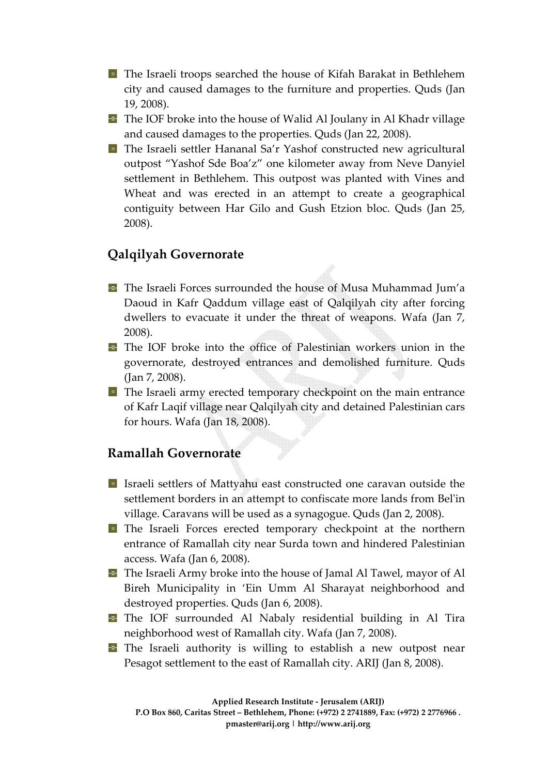- **T** The Israeli troops searched the house of Kifah Barakat in Bethlehem city and caused damages to the furniture and properties. Quds (Jan 19, 2008).
- **The IOF broke into the house of Walid Al Joulany in Al Khadr village** and caused damages to the properties. Quds (Jan 22, 2008).
- The Israeli settler Hananal Sa'r Yashof constructed new agricultural outpost "Yashof Sde Boa'z" one kilometer away from Neve Danyiel settlement in Bethlehem. This outpost was planted with Vines and Wheat and was erected in an attempt to create a geographical contiguity between Har Gilo and Gush Etzion bloc. Quds (Jan 25, 2008).

# **Qalqilyah Governorate**

- The Israeli Forces surrounded the house of Musa Muhammad Jum'a Daoud in Kafr Qaddum village east of Qalqilyah city after forcing dwellers to evacuate it under the threat of weapons. Wafa (Jan 7, 2008).
- The IOF broke into the office of Palestinian workers union in the governorate, destroyed entrances and demolished furniture. Quds (Jan 7, 2008).
- **T** The Israeli army erected temporary checkpoint on the main entrance of Kafr Laqif village near Qalqilyah city and detained Palestinian cars for hours. Wafa (Jan 18, 2008).

## **Ramallah Governorate**

- I Israeli settlers of Mattyahu east constructed one caravan outside the settlement borders in an attempt to confiscate more lands from Belʹin village. Caravans will be used as a synagogue. Quds (Jan 2, 2008).
- The Israeli Forces erected temporary checkpoint at the northern entrance of Ramallah city near Surda town and hindered Palestinian access. Wafa (Jan 6, 2008).
- **The Israeli Army broke into the house of Jamal Al Tawel, mayor of Al** Bireh Municipality in 'Ein Umm Al Sharayat neighborhood and destroyed properties. Quds (Jan 6, 2008).
- The IOF surrounded Al Nabaly residential building in Al Tira neighborhood west of Ramallah city. Wafa (Jan 7, 2008).
- **T** The Israeli authority is willing to establish a new outpost near Pesagot settlement to the east of Ramallah city. ARIJ (Jan 8, 2008).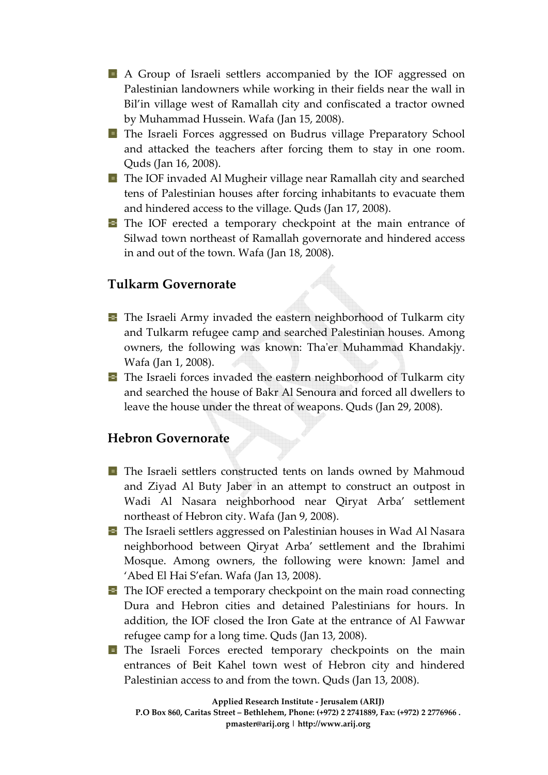- A Group of Israeli settlers accompanied by the IOF aggressed on Palestinian landowners while working in their fields near the wall in Bil'in village west of Ramallah city and confiscated a tractor owned by Muhammad Hussein. Wafa (Jan 15, 2008).
- The Israeli Forces aggressed on Budrus village Preparatory School and attacked the teachers after forcing them to stay in one room. Quds (Jan 16, 2008).
- The IOF invaded Al Mugheir village near Ramallah city and searched tens of Palestinian houses after forcing inhabitants to evacuate them and hindered access to the village. Quds (Jan 17, 2008).
- The IOF erected a temporary checkpoint at the main entrance of Silwad town northeast of Ramallah governorate and hindered access in and out of the town. Wafa (Jan 18, 2008).

#### **Tulkarm Governorate**

- **The Israeli Army invaded the eastern neighborhood of Tulkarm city** and Tulkarm refugee camp and searched Palestinian houses. Among owners, the following was known: Tha'er Muhammad Khandakjy. Wafa (Jan 1, 2008).
- $\Box$  The Israeli forces invaded the eastern neighborhood of Tulkarm city and searched the house of Bakr Al Senoura and forced all dwellers to leave the house under the threat of weapons. Quds (Jan 29, 2008).

#### **Hebron Governorate**

- The Israeli settlers constructed tents on lands owned by Mahmoud and Ziyad Al Buty Jaber in an attempt to construct an outpost in Wadi Al Nasara neighborhood near Qiryat Arba' settlement northeast of Hebron city. Wafa (Jan 9, 2008).
- The Israeli settlers aggressed on Palestinian houses in Wad Al Nasara neighborhood between Qiryat Arba' settlement and the Ibrahimi Mosque. Among owners, the following were known: Jamel and 'Abed El Hai S'efan. Wafa (Jan 13, 2008).
- $\blacksquare$  The IOF erected a temporary checkpoint on the main road connecting Dura and Hebron cities and detained Palestinians for hours. In addition, the IOF closed the Iron Gate at the entrance of Al Fawwar refugee camp for a long time. Quds (Jan 13, 2008).
- The Israeli Forces erected temporary checkpoints on the main entrances of Beit Kahel town west of Hebron city and hindered Palestinian access to and from the town. Quds (Jan 13, 2008).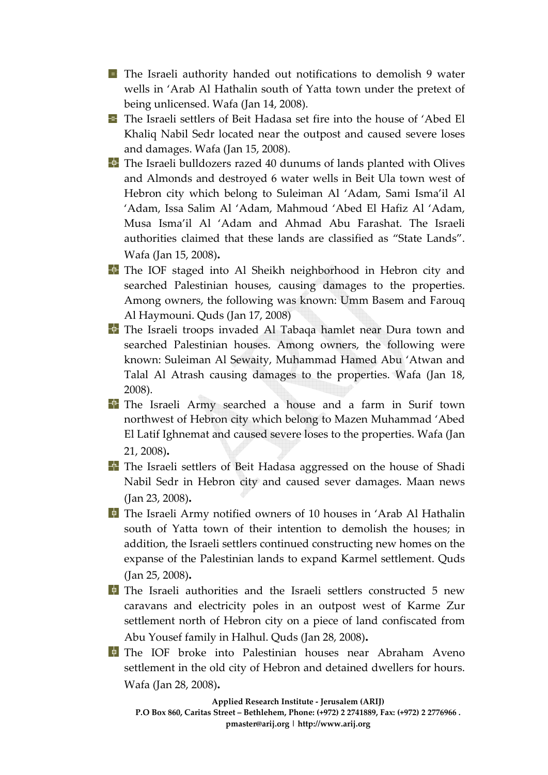- **T** The Israeli authority handed out notifications to demolish 9 water wells in 'Arab Al Hathalin south of Yatta town under the pretext of being unlicensed. Wafa (Jan 14, 2008).
- The Israeli settlers of Beit Hadasa set fire into the house of 'Abed El Khaliq Nabil Sedr located near the outpost and caused severe loses and damages. Wafa (Jan 15, 2008).
- The Israeli bulldozers razed 40 dunums of lands planted with Olives and Almonds and destroyed 6 water wells in Beit Ula town west of Hebron city which belong to Suleiman Al 'Adam, Sami Isma'il Al 'Adam, Issa Salim Al 'Adam, Mahmoud 'Abed El Hafiz Al 'Adam, Musa Isma'il Al 'Adam and Ahmad Abu Farashat. The Israeli authorities claimed that these lands are classified as "State Lands". Wafa (Jan 15, 2008)**.**
- The IOF staged into Al Sheikh neighborhood in Hebron city and searched Palestinian houses, causing damages to the properties. Among owners, the following was known: Umm Basem and Farouq Al Haymouni. Quds (Jan 17, 2008)
- The Israeli troops invaded Al Tabaqa hamlet near Dura town and searched Palestinian houses. Among owners, the following were known: Suleiman Al Sewaity, Muhammad Hamed Abu 'Atwan and Talal Al Atrash causing damages to the properties. Wafa (Jan 18, 2008).
- The Israeli Army searched a house and a farm in Surif town northwest of Hebron city which belong to Mazen Muhammad 'Abed El Latif Ighnemat and caused severe loses to the properties. Wafa (Jan 21, 2008)**.**
- The Israeli settlers of Beit Hadasa aggressed on the house of Shadi Nabil Sedr in Hebron city and caused sever damages. Maan news (Jan 23, 2008)**.**
- The Israeli Army notified owners of 10 houses in 'Arab Al Hathalin south of Yatta town of their intention to demolish the houses; in addition, the Israeli settlers continued constructing new homes on the expanse of the Palestinian lands to expand Karmel settlement. Quds (Jan 25, 2008)**.**
- The Israeli authorities and the Israeli settlers constructed 5 new caravans and electricity poles in an outpost west of Karme Zur settlement north of Hebron city on a piece of land confiscated from Abu Yousef family in Halhul. Quds (Jan 28, 2008)**.**
- The IOF broke into Palestinian houses near Abraham Aveno settlement in the old city of Hebron and detained dwellers for hours. Wafa (Jan 28, 2008)**.**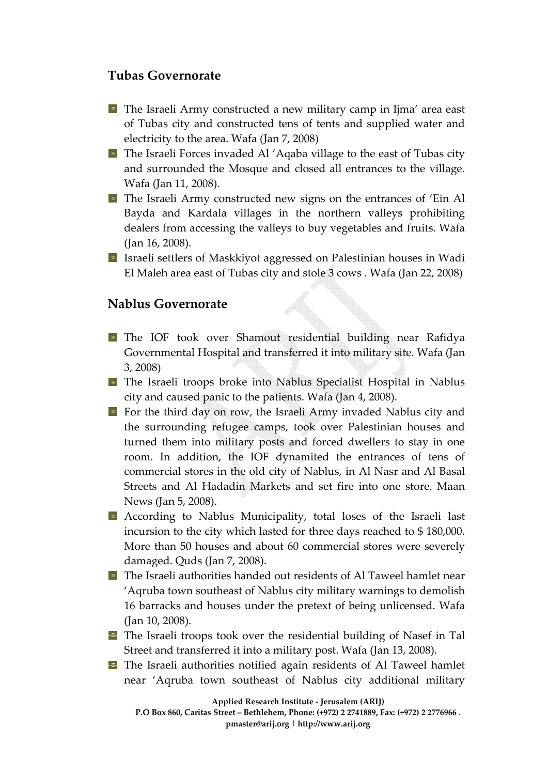## **Tubas Governorate**

- The Israeli Army constructed a new military camp in Ijma' area east of Tubas city and constructed tens of tents and supplied water and electricity to the area. Wafa (Jan 7, 2008)
- **The Israeli Forces invaded Al 'Aqaba village to the east of Tubas city** and surrounded the Mosque and closed all entrances to the village. Wafa (Jan 11, 2008).
- dealers from accessing the valleys to buy vegetables and fruits. Wafa The Israeli Army constructed new signs on the entrances of 'Ein Al Bayda and Kardala villages in the northern valleys prohibiting (Jan 16, 2008).
- Israeli settlers of Maskkiyot aggressed on Palestinian houses in Wadi El Maleh area east of Tubas city and stole 3 cows . Wafa (Jan 22, 2008)

## **Nablus Governorate**

- The IOF took over Shamout residential building near Rafidya Governmental Hospital and transferred it into military site. Wafa (Jan 3, 2008)
- The Israeli troops broke into Nablus Specialist Hospital in Nablus city and caused panic to the patients. Wafa (Jan 4, 2008).
- For the third day on row, the Israeli Army invaded Nablus city and turned them into military posts and forced dwellers to stay in one the surrounding refugee camps, took over Palestinian houses and room. In addition, the IOF dynamited the entrances of tens of commercial stores in the old city of Nablus, in Al Nasr and Al Basal Streets and Al Hadadin Markets and set fire into one store. Maan News (Jan 5, 2008).
- More than 50 houses and about 60 commercial stores were severely According to Nablus Municipality, total loses of the Israeli last incursion to the city which lasted for three days reached to \$ 180,000. damaged. Quds (Jan 7, 2008).
- 16 barracks and houses under the pretext of being unlicensed. Wafa **T** The Israeli authorities handed out residents of Al Taweel hamlet near 'Aqruba town southeast of Nablus city military warnings to demolish (Jan 10, 2008).
- The Israeli troops took over the residential building of Nasef in Tal Street and transferred it into a military post. Wafa (Jan 13, 2008).
- The Israeli authorities notified again residents of Al Taweel hamlet near 'Aqruba town southeast of Nablus city additional military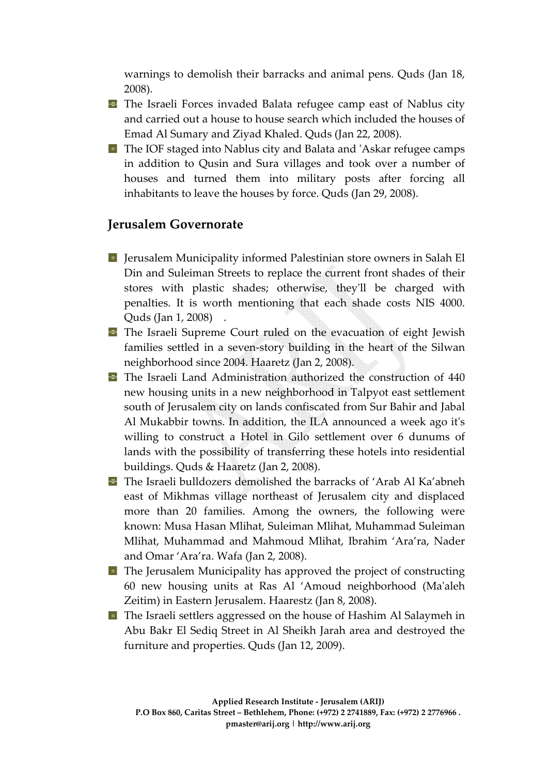warnings to demolish their barracks and animal pens. Quds (Jan 18, 2008).

- **The Israeli Forces invaded Balata refugee camp east of Nablus city** and carried out a house to house search which included the houses of Emad Al Sumary and Ziyad Khaled. Quds (Jan 22, 2008).
- The IOF staged into Nablus city and Balata and 'Askar refugee camps inhabitants to leave the houses by force. Quds (Jan 29, 2008). in addition to Qusin and Sura villages and took over a number of houses and turned them into military posts after forcing all

# **Jer usalem Governorate**

- Jerusalem Municipality informed Palestinian store owners in Salah El Din and Suleiman Streets to replace the current front shades of their stores with plastic shades; otherwise, they'll be charged with penalties. It is worth mentioning that each shade costs NIS 4000. Quds (Jan 1, 2008) .
- families settled in a seven-story building in the heart of the Silwan The Israeli Supreme Court ruled on the evacuation of eight Jewish neighborhood since 2004. Haaretz (Jan 2, 2008).
- The Israeli Land Administration authorized the construction of 440 Al Mukabbir towns. In addition, the ILA announced a week ago it's new housing units in a new neighborhood in Talpyot east settlement south of Jerusalem city on lands confiscated from Sur Bahir and Jabal willing to construct a Hotel in Gilo settlement over 6 dunums of lands with the possibility of transferring these hotels into residential buildings. Quds & Haaretz (Jan 2, 2008).
- known: Musa Hasan Mlihat, Suleiman Mlihat, Muhammad Suleiman The Israeli bulldozers demolished the barracks of 'Arab Al Ka'abneh east of Mikhmas village northeast of Jerusalem city and displaced more than 20 families. Among the owners, the following were Mlihat, Muhammad and Mahmoud Mlihat, Ibrahim 'Ara'ra, Nader and Omar 'Ara'ra. Wafa (Jan 2, 2008).
- $\blacksquare$  The Jerusalem Municipality has approved the project of constructing 60 new housing units at Ras Al 'Amoud neighborhood (Maʹaleh Zeitim) in Eastern Jerusalem. Haarestz (Jan 8, 2008).
- **The Israeli settlers aggressed on the house of Hashim Al Salaymeh in** Abu Bakr El Sediq Street in Al Sheikh Jarah area and destroyed the furniture and properties. Quds (Jan 12, 2009).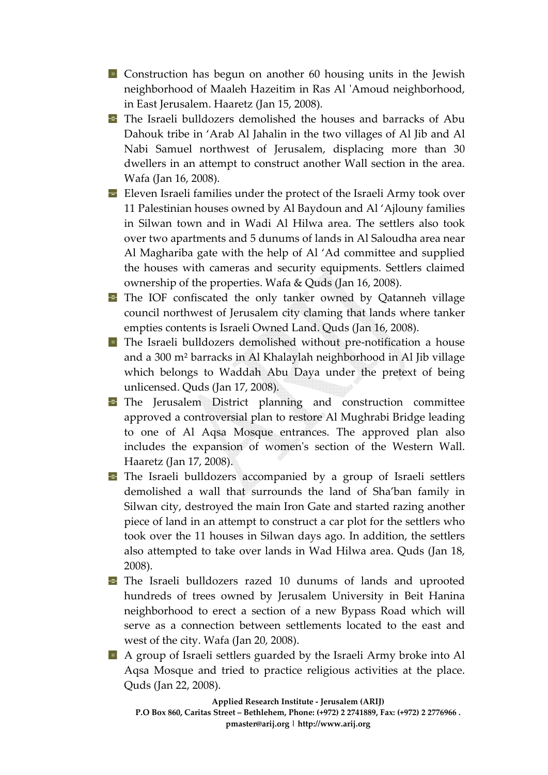- **E** Construction has begun on another 60 housing units in the Jewish neighborhood of Maaleh Hazeitim in Ras Al ʹAmoud neighborhood, in East Jerusalem. Haaretz (Jan 15, 2008).
- Nabi Samuel northwest of Jerusalem, displacing more than 30 **The Israeli bulldozers demolished the houses and barracks of Abu** Dahouk tribe in 'Arab Al Jahalin in the two villages of Al Jib and Al dwellers in an attempt to construct another Wall section in the area. Wafa (Jan 16, 2008).
- in Silwan town and in Wadi Al Hilwa area. The settlers also took **Eleven Israeli families under the protect of the Israeli Army took over** 11 Palestinian houses owned by Al Baydoun and Al 'Ajlouny families over two apartments and 5 dunums of lands in Al Saloudha area near Al Maghariba gate with the help of Al 'Ad committee and supplied the houses with cameras and security equipments. Settlers claimed ownership of the properties. Wafa & Quds (Jan 16, 2008).
- empties contents is Israeli Owned Land. Quds (Jan 16, 2008). The IOF confiscated the only tanker owned by Qatanneh village council northwest of Jerusalem city claming that lands where tanker
- which belongs to Waddah Abu Daya under the pretext of being The Israeli bulldozers demolished without pre‐notification a house and a 300 m² barracks in Al Khalaylah neighborhood in Al Jib village unlicensed. Quds (Jan 17, 2008).
- to one of Al Aqsa Mosque entrances. The approved plan also includes the expansion of women's section of the Western Wall. The Jerusalem District planning and construction committee approved a controversial plan to restore Al Mughrabi Bridge leading Haaretz (Jan 17, 2008).
- Silwan city, destroyed the main Iron Gate and started razing another The Israeli bulldozers accompanied by a group of Israeli settlers demolished a wall that surrounds the land of Sha'ban family in piece of land in an attempt to construct a car plot for the settlers who took over the 11 houses in Silwan days ago. In addition, the settlers also attempted to take over lands in Wad Hilwa area. Quds (Jan 18, 2008).
- neighborhood to erect a section of a new Bypass Road which will The Israeli bulldozers razed 10 dunums of lands and uprooted hundreds of trees owned by Jerusalem University in Beit Hanina serve as a connection between settlements located to the east and west of the city. Wafa (Jan 20, 2008).
- A group of Israeli settlers guarded by the Israeli Army broke into Al Aqsa Mosque and tried to practice religious activities at the place. Quds (Jan 22, 2008).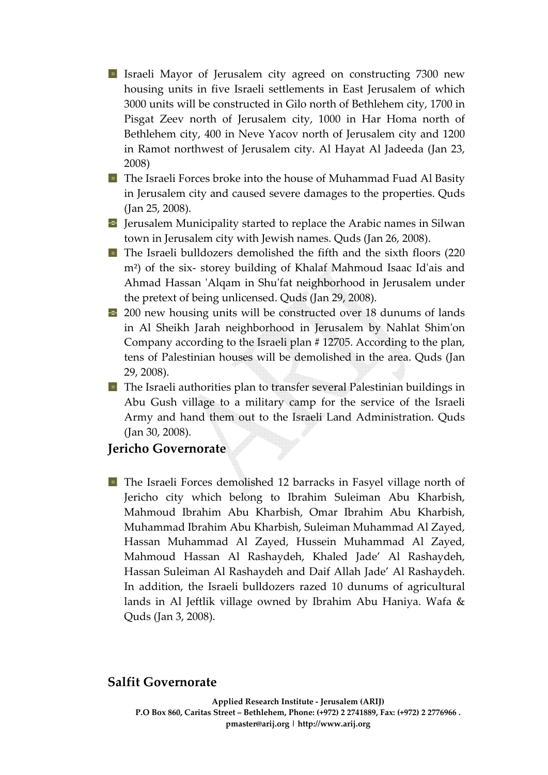- 3000 units will be constructed in Gilo north of Bethlehem city, 1700 in **I** Israeli Mayor of Jerusalem city agreed on constructing 7300 new housing units in five Israeli settlements in East Jerusalem of which Pisgat Zeev north of Jerusalem city, 1000 in Har Homa north of Bethlehem city, 400 in Neve Yacov north of Jerusalem city and 1200 in Ramot northwest of Jerusalem city. Al Hayat Al Jadeeda (Jan 23, 2008)
- , 2008). (Jan 25 **T** The Israeli Forces broke into the house of Muhammad Fuad Al Basity in Jerusalem city and caused severe damages to the properties. Quds
- $\blacksquare$  Jerusalem Municipality started to replace the Arabic names in Silwan town in Jerusalem city with Jewish names. Quds (Jan 26, 2008).
- The Israeli bulldozers demolished the fifth and the sixth floors (220 Ahmad Hassan 'Alqam in Shu'fat neighborhood in Jerusalem under m<sup>2</sup>) of the six-storey building of Khalaf Mahmoud Isaac Id'ais and the pretext of being unlicensed. Quds (Jan 29, 2008).
- Company according to the Israeli plan # 12705. According to the plan, <sup>1</sup> 200 new housing units will be constructed over 18 dunums of lands in Al Sheikh Jarah neighborhood in Jerusalem by Nahlat Shimʹon tens of Palestinian houses will be demolished in the area. Quds (Jan 29, 2008).
- Army and hand them out to the Israeli Land Administration. Quds The Israeli authorities plan to transfer several Palestinian buildings in Abu Gush village to a military camp for the service of the Israeli (Jan 30, 2008).

#### **Jer icho Governorate**

The Israeli Forces demolished 12 barracks in Fasyel village north of Jericho city which belong to Ibrahim Suleiman Abu Kharbish, Mahmoud Ibrahim Abu Kharbish, Omar Ibrahim Abu Kharbish, Muhammad Ibrahim Abu Kharbish, Suleiman Muhammad Al Zayed, Hassan Muhammad Al Zayed, Hussein Muhammad Al Zayed, Mahmoud Hassan Al Rashaydeh, Khaled Jade' Al Rashaydeh, Hassan Suleiman Al Rashaydeh and Daif Allah Jade' Al Rashaydeh. In addition, the Israeli bulldozers razed 10 dunums of agricultural lands in Al Jeftlik village owned by Ibrahim Abu Haniya. Wafa & Quds (Jan 3, 2008).

#### **alfit Governorate S**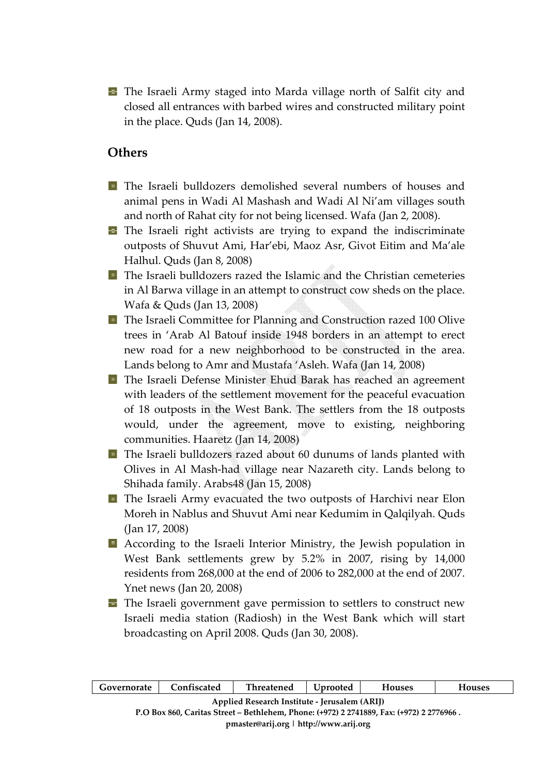**The Israeli Army staged into Marda village north of Salfit city and** closed all entrances with barbed wires and constructed military point in the place. Quds (Jan 14, 2008).

## **Ot hers**

- The Israeli bulldozers demolished several numbers of houses and animal pens in Wadi Al Mashash and Wadi Al Ni'am villages south and north of Rahat city for not being licensed. Wafa (Jan 2, 2008).
- **T** The Israeli right activists are trying to expand the indiscriminate outposts of Shuvut Ami, Har'ebi, Maoz Asr, Givot Eitim and Ma'ale Halhul. Quds (Jan 8, 2008)
- The Israeli bulldozers razed the Islamic and the Christian cemeteries in Al Barwa village in an attempt to construct cow sheds on the place. Wafa & Quds (Jan 13, 2008)
- **T** The Israeli Committee for Planning and Construction razed 100 Olive trees in 'Arab Al Batouf inside 1948 borders in an attempt to erect new road for a new neighborhood to be constructed in the area. Lands belong to Amr and Mustafa 'Asleh. Wafa (Jan 14, 2008)
- **The Israeli Defense Minister Ehud Barak has reached an agreement** with leaders of the settlement movement for the peaceful evacuation of 18 outposts in the West Bank. The settlers from the 18 outposts would, under the agreement, move to existing, neighboring communities. Haaretz (Jan 14, 2008)
- **T** The Israeli bulldozers razed about 60 dunums of lands planted with Olives in Al Mash‐had village near Nazareth city. Lands belong to Shihada family. Arabs48 (Jan 15, 2008)
- **T** The Israeli Army evacuated the two outposts of Harchivi near Elon Moreh in Nablus and Shuvut Ami near Kedumim in Qalqilyah. Quds (Jan 17, 2008)
- According to the Israeli Interior Ministry, the Jewish population in West Bank settlements grew by 5.2% in 2007, rising by 14,000 residents from 268,000 at the end of 2006 to 282,000 at the end of 2007. Ynet news (Jan 20, 2008)
- **The Israeli government gave permission to settlers to construct new** Israeli media station (Radiosh) in the West Bank which will start broadcasting on April 2008. Quds (Jan 30, 2008).

| Governorate                                                                              | Confiscated | Threatened   Uprooted |  | <b>Houses</b> | <b>Houses</b> |  |  |  |
|------------------------------------------------------------------------------------------|-------------|-----------------------|--|---------------|---------------|--|--|--|
| Applied Research Institute - Jerusalem (ARIJ)                                            |             |                       |  |               |               |  |  |  |
| P.O Box 860, Caritas Street – Bethlehem, Phone: (+972) 2 2741889, Fax: (+972) 2 2776966. |             |                       |  |               |               |  |  |  |
| pmaster@arij.org   http://www.arij.org                                                   |             |                       |  |               |               |  |  |  |